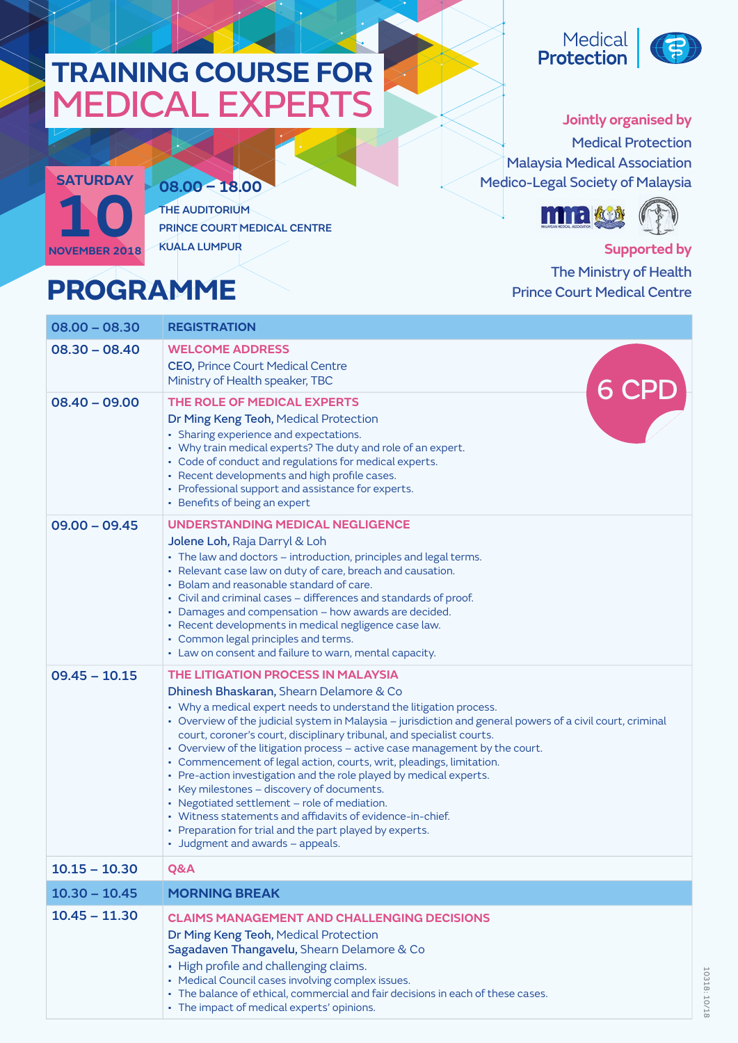## **TRAINING COURSE FOR** MEDICAL EXPERTS



**08.00 – 18.00** THE AUDITORIUM PRINCE COURT MEDICAL CENTRE KUALA LUMPUR

## **PROGRAMME**

Medical<br>**Protection** 



10318: 10/18

10318:10/18

**Jointly organised by** Medical Protection Malaysia Medical Association Medico-Legal Society of Malaysia



**Supported by** The Ministry of Health Prince Court Medical Centre

| $08.00 - 08.30$ | <b>REGISTRATION</b>                                                                                                                                                                                                                                                                                                                                                                                                                                                                                                                                                                                                                                                                                                                                                                                                               |
|-----------------|-----------------------------------------------------------------------------------------------------------------------------------------------------------------------------------------------------------------------------------------------------------------------------------------------------------------------------------------------------------------------------------------------------------------------------------------------------------------------------------------------------------------------------------------------------------------------------------------------------------------------------------------------------------------------------------------------------------------------------------------------------------------------------------------------------------------------------------|
| $08.30 - 08.40$ | <b>WELCOME ADDRESS</b><br><b>CEO, Prince Court Medical Centre</b><br>Ministry of Health speaker, TBC                                                                                                                                                                                                                                                                                                                                                                                                                                                                                                                                                                                                                                                                                                                              |
| $08.40 - 09.00$ | 6 CPD<br>THE ROLE OF MEDICAL EXPERTS<br>Dr Ming Keng Teoh, Medical Protection<br>• Sharing experience and expectations.<br>• Why train medical experts? The duty and role of an expert.<br>• Code of conduct and regulations for medical experts.<br>• Recent developments and high profile cases.<br>• Professional support and assistance for experts.<br>• Benefits of being an expert                                                                                                                                                                                                                                                                                                                                                                                                                                         |
| $09.00 - 09.45$ | UNDERSTANDING MEDICAL NEGLIGENCE<br>Jolene Loh, Raja Darryl & Loh<br>• The law and doctors - introduction, principles and legal terms.<br>• Relevant case law on duty of care, breach and causation.<br>• Bolam and reasonable standard of care.<br>• Civil and criminal cases - differences and standards of proof.<br>• Damages and compensation - how awards are decided.<br>· Recent developments in medical negligence case law.<br>• Common legal principles and terms.<br>• Law on consent and failure to warn, mental capacity.                                                                                                                                                                                                                                                                                           |
| $09.45 - 10.15$ | THE LITIGATION PROCESS IN MALAYSIA<br>Dhinesh Bhaskaran, Shearn Delamore & Co<br>• Why a medical expert needs to understand the litigation process.<br>· Overview of the judicial system in Malaysia - jurisdiction and general powers of a civil court, criminal<br>court, coroner's court, disciplinary tribunal, and specialist courts.<br>• Overview of the litigation process - active case management by the court.<br>• Commencement of legal action, courts, writ, pleadings, limitation.<br>• Pre-action investigation and the role played by medical experts.<br>• Key milestones - discovery of documents.<br>• Negotiated settlement - role of mediation.<br>• Witness statements and affidavits of evidence-in-chief.<br>• Preparation for trial and the part played by experts.<br>• Judgment and awards - appeals. |
| $10.15 - 10.30$ | Q&A                                                                                                                                                                                                                                                                                                                                                                                                                                                                                                                                                                                                                                                                                                                                                                                                                               |
| $10.30 - 10.45$ | <b>MORNING BREAK</b>                                                                                                                                                                                                                                                                                                                                                                                                                                                                                                                                                                                                                                                                                                                                                                                                              |
| $10.45 - 11.30$ | <b>CLAIMS MANAGEMENT AND CHALLENGING DECISIONS</b><br>Dr Ming Keng Teoh, Medical Protection<br>Sagadaven Thangavelu, Shearn Delamore & Co<br>• High profile and challenging claims.<br>• Medical Council cases involving complex issues.<br>• The balance of ethical, commercial and fair decisions in each of these cases.<br>• The impact of medical experts' opinions.                                                                                                                                                                                                                                                                                                                                                                                                                                                         |